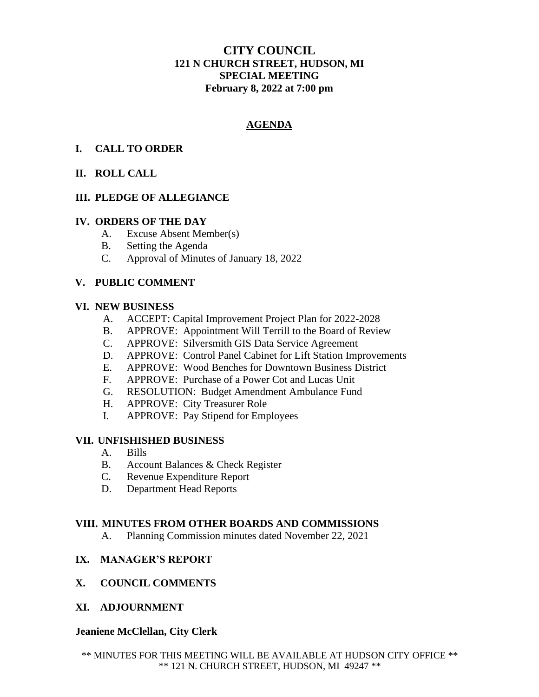# **CITY COUNCIL 121 N CHURCH STREET, HUDSON, MI SPECIAL MEETING February 8, 2022 at 7:00 pm**

# **AGENDA**

## **I. CALL TO ORDER**

## **II. ROLL CALL**

## **III. PLEDGE OF ALLEGIANCE**

#### **IV. ORDERS OF THE DAY**

- A. Excuse Absent Member(s)
- B. Setting the Agenda
- C. Approval of Minutes of January 18, 2022

### **V. PUBLIC COMMENT**

#### **VI. NEW BUSINESS**

- A. ACCEPT: Capital Improvement Project Plan for 2022-2028
- B. APPROVE: Appointment Will Terrill to the Board of Review
- C. APPROVE: Silversmith GIS Data Service Agreement
- D. APPROVE: Control Panel Cabinet for Lift Station Improvements
- E. APPROVE: Wood Benches for Downtown Business District
- F. APPROVE: Purchase of a Power Cot and Lucas Unit
- G. RESOLUTION: Budget Amendment Ambulance Fund
- H. APPROVE: City Treasurer Role
- I. APPROVE: Pay Stipend for Employees

### **VII. UNFISHISHED BUSINESS**

- A. Bills
- B. Account Balances & Check Register
- C. Revenue Expenditure Report
- D. Department Head Reports

### **VIII. MINUTES FROM OTHER BOARDS AND COMMISSIONS**

A. Planning Commission minutes dated November 22, 2021

## **IX. MANAGER'S REPORT**

## **X. COUNCIL COMMENTS**

**XI. ADJOURNMENT**

### **Jeaniene McClellan, City Clerk**